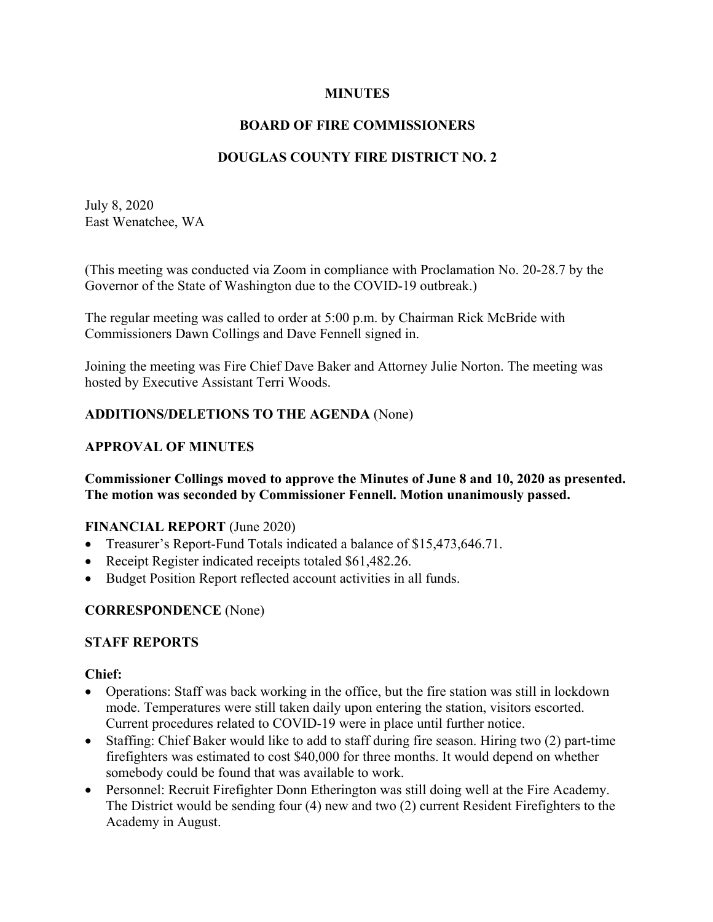### **MINUTES**

# **BOARD OF FIRE COMMISSIONERS**

# **DOUGLAS COUNTY FIRE DISTRICT NO. 2**

July 8, 2020 East Wenatchee, WA

(This meeting was conducted via Zoom in compliance with Proclamation No. 20-28.7 by the Governor of the State of Washington due to the COVID-19 outbreak.)

The regular meeting was called to order at 5:00 p.m. by Chairman Rick McBride with Commissioners Dawn Collings and Dave Fennell signed in.

Joining the meeting was Fire Chief Dave Baker and Attorney Julie Norton. The meeting was hosted by Executive Assistant Terri Woods.

### **ADDITIONS/DELETIONS TO THE AGENDA** (None)

### **APPROVAL OF MINUTES**

#### **Commissioner Collings moved to approve the Minutes of June 8 and 10, 2020 as presented. The motion was seconded by Commissioner Fennell. Motion unanimously passed.**

### **FINANCIAL REPORT** (June 2020)

- Treasurer's Report-Fund Totals indicated a balance of \$15,473,646.71.
- Receipt Register indicated receipts totaled \$61,482.26.
- Budget Position Report reflected account activities in all funds.

### **CORRESPONDENCE** (None)

### **STAFF REPORTS**

### **Chief:**

- Operations: Staff was back working in the office, but the fire station was still in lockdown mode. Temperatures were still taken daily upon entering the station, visitors escorted. Current procedures related to COVID-19 were in place until further notice.
- Staffing: Chief Baker would like to add to staff during fire season. Hiring two (2) part-time firefighters was estimated to cost \$40,000 for three months. It would depend on whether somebody could be found that was available to work.
- Personnel: Recruit Firefighter Donn Etherington was still doing well at the Fire Academy. The District would be sending four (4) new and two (2) current Resident Firefighters to the Academy in August.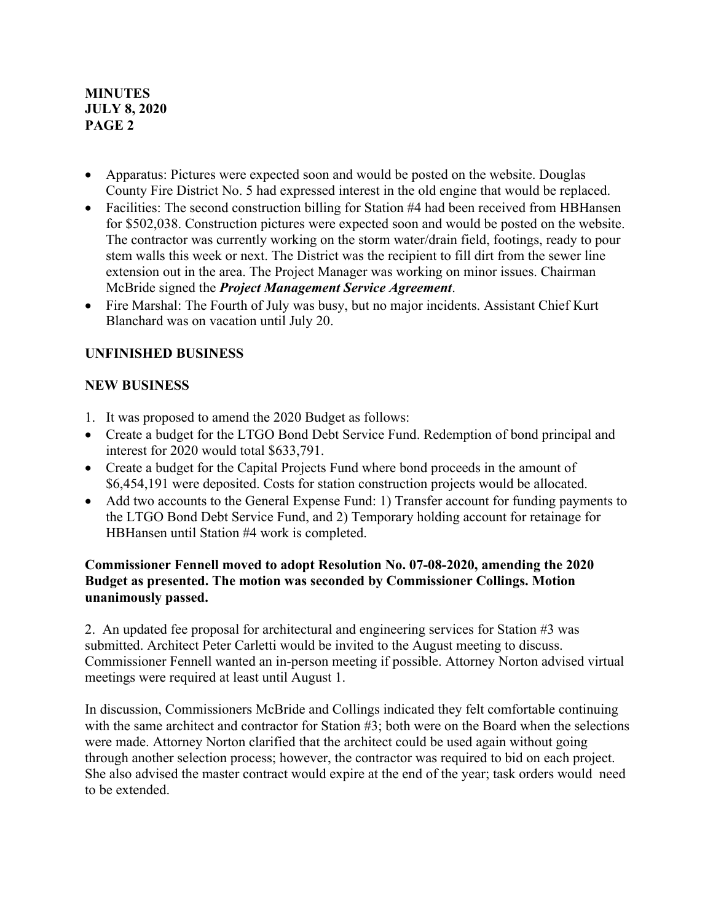### **MINUTES JULY 8, 2020 PAGE 2**

- Apparatus: Pictures were expected soon and would be posted on the website. Douglas County Fire District No. 5 had expressed interest in the old engine that would be replaced.
- Facilities: The second construction billing for Station #4 had been received from HBHansen for \$502,038. Construction pictures were expected soon and would be posted on the website. The contractor was currently working on the storm water/drain field, footings, ready to pour stem walls this week or next. The District was the recipient to fill dirt from the sewer line extension out in the area. The Project Manager was working on minor issues. Chairman McBride signed the *Project Management Service Agreement*.
- Fire Marshal: The Fourth of July was busy, but no major incidents. Assistant Chief Kurt Blanchard was on vacation until July 20.

## **UNFINISHED BUSINESS**

### **NEW BUSINESS**

- 1. It was proposed to amend the 2020 Budget as follows:
- Create a budget for the LTGO Bond Debt Service Fund. Redemption of bond principal and interest for 2020 would total \$633,791.
- Create a budget for the Capital Projects Fund where bond proceeds in the amount of \$6,454,191 were deposited. Costs for station construction projects would be allocated.
- Add two accounts to the General Expense Fund: 1) Transfer account for funding payments to the LTGO Bond Debt Service Fund, and 2) Temporary holding account for retainage for HBHansen until Station #4 work is completed.

### **Commissioner Fennell moved to adopt Resolution No. 07-08-2020, amending the 2020 Budget as presented. The motion was seconded by Commissioner Collings. Motion unanimously passed.**

2. An updated fee proposal for architectural and engineering services for Station #3 was submitted. Architect Peter Carletti would be invited to the August meeting to discuss. Commissioner Fennell wanted an in-person meeting if possible. Attorney Norton advised virtual meetings were required at least until August 1.

In discussion, Commissioners McBride and Collings indicated they felt comfortable continuing with the same architect and contractor for Station #3; both were on the Board when the selections were made. Attorney Norton clarified that the architect could be used again without going through another selection process; however, the contractor was required to bid on each project. She also advised the master contract would expire at the end of the year; task orders would need to be extended.